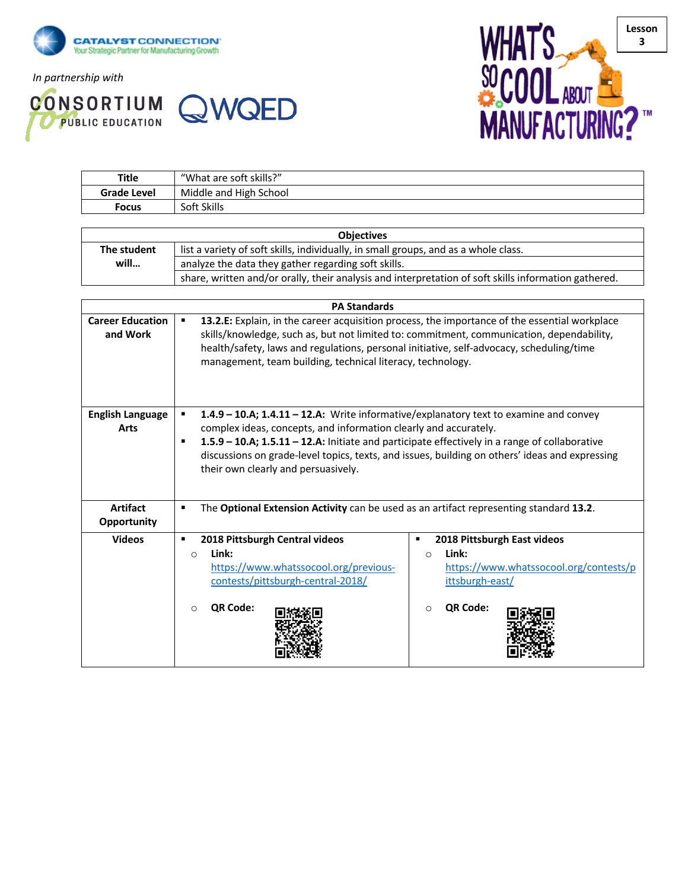

*In partnership with*



**Title** "What are soft skills?"



| <b>Grade Level</b>      | Middle and High School                                                                                   |                                        |  |  |  |
|-------------------------|----------------------------------------------------------------------------------------------------------|----------------------------------------|--|--|--|
| <b>Focus</b>            | Soft Skills                                                                                              |                                        |  |  |  |
|                         |                                                                                                          |                                        |  |  |  |
| <b>Objectives</b>       |                                                                                                          |                                        |  |  |  |
| The student             | list a variety of soft skills, individually, in small groups, and as a whole class.                      |                                        |  |  |  |
| will                    | analyze the data they gather regarding soft skills.                                                      |                                        |  |  |  |
|                         | share, written and/or orally, their analysis and interpretation of soft skills information gathered.     |                                        |  |  |  |
|                         |                                                                                                          |                                        |  |  |  |
|                         | <b>PA Standards</b>                                                                                      |                                        |  |  |  |
| <b>Career Education</b> | 13.2.E: Explain, in the career acquisition process, the importance of the essential workplace            |                                        |  |  |  |
| and Work                | skills/knowledge, such as, but not limited to: commitment, communication, dependability,                 |                                        |  |  |  |
|                         | health/safety, laws and regulations, personal initiative, self-advocacy, scheduling/time                 |                                        |  |  |  |
|                         | management, team building, technical literacy, technology.                                               |                                        |  |  |  |
|                         |                                                                                                          |                                        |  |  |  |
|                         |                                                                                                          |                                        |  |  |  |
| <b>English Language</b> | 1.4.9 - 10.A; 1.4.11 - 12.A: Write informative/explanatory text to examine and convey<br>٠               |                                        |  |  |  |
| <b>Arts</b>             | complex ideas, concepts, and information clearly and accurately.                                         |                                        |  |  |  |
|                         | 1.5.9 - 10.A; 1.5.11 - 12.A: Initiate and participate effectively in a range of collaborative<br>٠       |                                        |  |  |  |
|                         | discussions on grade-level topics, texts, and issues, building on others' ideas and expressing           |                                        |  |  |  |
|                         | their own clearly and persuasively.                                                                      |                                        |  |  |  |
|                         |                                                                                                          |                                        |  |  |  |
|                         |                                                                                                          |                                        |  |  |  |
| <b>Artifact</b>         | The Optional Extension Activity can be used as an artifact representing standard 13.2.<br>$\blacksquare$ |                                        |  |  |  |
| Opportunity             |                                                                                                          |                                        |  |  |  |
| <b>Videos</b>           | 2018 Pittsburgh Central videos<br>$\blacksquare$                                                         | 2018 Pittsburgh East videos            |  |  |  |
|                         | Link:<br>$\circ$                                                                                         | Link:<br>$\circ$                       |  |  |  |
|                         | https://www.whatssocool.org/previous-                                                                    | https://www.whatssocool.org/contests/p |  |  |  |
|                         | contests/pittsburgh-central-2018/                                                                        | ittsburgh-east/                        |  |  |  |
|                         |                                                                                                          |                                        |  |  |  |
|                         | QR Code:<br>$\circ$                                                                                      | QR Code:<br>$\circ$                    |  |  |  |
|                         |                                                                                                          |                                        |  |  |  |
|                         |                                                                                                          |                                        |  |  |  |
|                         |                                                                                                          |                                        |  |  |  |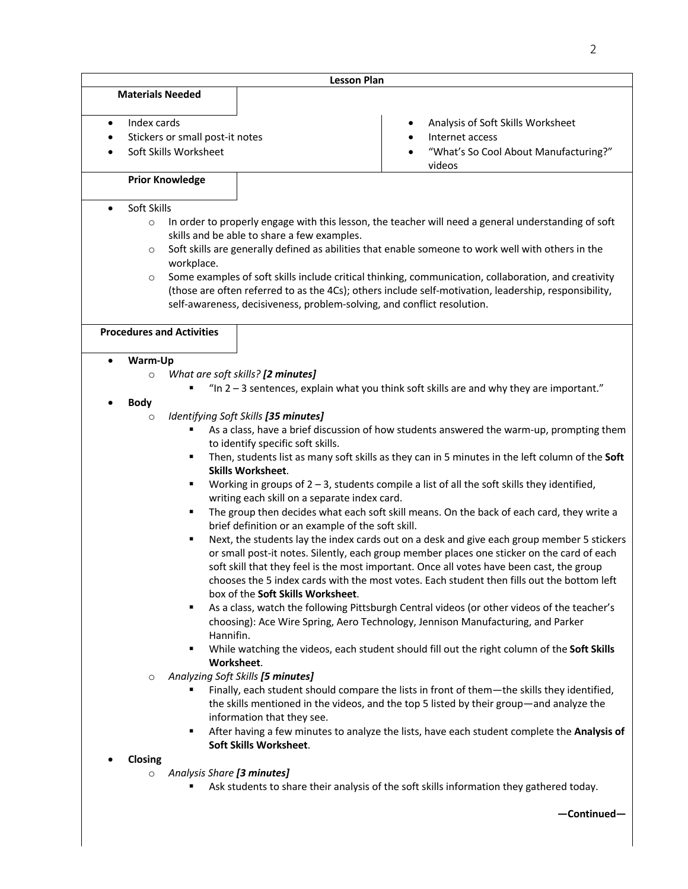| <b>Lesson Plan</b>                                                                                                                                                                                                                                                                                                                                                                                                                                                                                                                                                                                                              |                                                                                                                                                                                                                                                                                                                                                                                                                                                                                                                                                                                                                                                                                                                                                                                                                                                                                                                                                                                                                                                                                                                                                                                                                                                                                                                                                                 |                                                                                                                                                                                                                                                                                       |  |  |  |
|---------------------------------------------------------------------------------------------------------------------------------------------------------------------------------------------------------------------------------------------------------------------------------------------------------------------------------------------------------------------------------------------------------------------------------------------------------------------------------------------------------------------------------------------------------------------------------------------------------------------------------|-----------------------------------------------------------------------------------------------------------------------------------------------------------------------------------------------------------------------------------------------------------------------------------------------------------------------------------------------------------------------------------------------------------------------------------------------------------------------------------------------------------------------------------------------------------------------------------------------------------------------------------------------------------------------------------------------------------------------------------------------------------------------------------------------------------------------------------------------------------------------------------------------------------------------------------------------------------------------------------------------------------------------------------------------------------------------------------------------------------------------------------------------------------------------------------------------------------------------------------------------------------------------------------------------------------------------------------------------------------------|---------------------------------------------------------------------------------------------------------------------------------------------------------------------------------------------------------------------------------------------------------------------------------------|--|--|--|
| <b>Materials Needed</b>                                                                                                                                                                                                                                                                                                                                                                                                                                                                                                                                                                                                         |                                                                                                                                                                                                                                                                                                                                                                                                                                                                                                                                                                                                                                                                                                                                                                                                                                                                                                                                                                                                                                                                                                                                                                                                                                                                                                                                                                 |                                                                                                                                                                                                                                                                                       |  |  |  |
| Index cards<br>$\bullet$                                                                                                                                                                                                                                                                                                                                                                                                                                                                                                                                                                                                        | Stickers or small post-it notes<br>Soft Skills Worksheet                                                                                                                                                                                                                                                                                                                                                                                                                                                                                                                                                                                                                                                                                                                                                                                                                                                                                                                                                                                                                                                                                                                                                                                                                                                                                                        | Analysis of Soft Skills Worksheet<br>Internet access<br>"What's So Cool About Manufacturing?"<br>videos                                                                                                                                                                               |  |  |  |
| <b>Prior Knowledge</b>                                                                                                                                                                                                                                                                                                                                                                                                                                                                                                                                                                                                          |                                                                                                                                                                                                                                                                                                                                                                                                                                                                                                                                                                                                                                                                                                                                                                                                                                                                                                                                                                                                                                                                                                                                                                                                                                                                                                                                                                 |                                                                                                                                                                                                                                                                                       |  |  |  |
|                                                                                                                                                                                                                                                                                                                                                                                                                                                                                                                                                                                                                                 |                                                                                                                                                                                                                                                                                                                                                                                                                                                                                                                                                                                                                                                                                                                                                                                                                                                                                                                                                                                                                                                                                                                                                                                                                                                                                                                                                                 |                                                                                                                                                                                                                                                                                       |  |  |  |
| Soft Skills<br>$\bullet$<br>In order to properly engage with this lesson, the teacher will need a general understanding of soft<br>$\circ$<br>skills and be able to share a few examples.<br>Soft skills are generally defined as abilities that enable someone to work well with others in the<br>$\circ$<br>workplace.<br>Some examples of soft skills include critical thinking, communication, collaboration, and creativity<br>$\circ$<br>(those are often referred to as the 4Cs); others include self-motivation, leadership, responsibility,<br>self-awareness, decisiveness, problem-solving, and conflict resolution. |                                                                                                                                                                                                                                                                                                                                                                                                                                                                                                                                                                                                                                                                                                                                                                                                                                                                                                                                                                                                                                                                                                                                                                                                                                                                                                                                                                 |                                                                                                                                                                                                                                                                                       |  |  |  |
| <b>Procedures and Activities</b>                                                                                                                                                                                                                                                                                                                                                                                                                                                                                                                                                                                                |                                                                                                                                                                                                                                                                                                                                                                                                                                                                                                                                                                                                                                                                                                                                                                                                                                                                                                                                                                                                                                                                                                                                                                                                                                                                                                                                                                 |                                                                                                                                                                                                                                                                                       |  |  |  |
|                                                                                                                                                                                                                                                                                                                                                                                                                                                                                                                                                                                                                                 |                                                                                                                                                                                                                                                                                                                                                                                                                                                                                                                                                                                                                                                                                                                                                                                                                                                                                                                                                                                                                                                                                                                                                                                                                                                                                                                                                                 |                                                                                                                                                                                                                                                                                       |  |  |  |
| Warm-Up                                                                                                                                                                                                                                                                                                                                                                                                                                                                                                                                                                                                                         |                                                                                                                                                                                                                                                                                                                                                                                                                                                                                                                                                                                                                                                                                                                                                                                                                                                                                                                                                                                                                                                                                                                                                                                                                                                                                                                                                                 |                                                                                                                                                                                                                                                                                       |  |  |  |
| $\circ$                                                                                                                                                                                                                                                                                                                                                                                                                                                                                                                                                                                                                         | What are soft skills? [2 minutes]                                                                                                                                                                                                                                                                                                                                                                                                                                                                                                                                                                                                                                                                                                                                                                                                                                                                                                                                                                                                                                                                                                                                                                                                                                                                                                                               | "In $2 - 3$ sentences, explain what you think soft skills are and why they are important."                                                                                                                                                                                            |  |  |  |
| <b>Body</b><br>$\circ$                                                                                                                                                                                                                                                                                                                                                                                                                                                                                                                                                                                                          | Identifying Soft Skills [35 minutes]<br>As a class, have a brief discussion of how students answered the warm-up, prompting them<br>to identify specific soft skills.<br>Then, students list as many soft skills as they can in 5 minutes in the left column of the Soft<br><b>Skills Worksheet.</b><br>Working in groups of $2 - 3$ , students compile a list of all the soft skills they identified,<br>٠<br>writing each skill on a separate index card.<br>The group then decides what each soft skill means. On the back of each card, they write a<br>٠<br>brief definition or an example of the soft skill.<br>Next, the students lay the index cards out on a desk and give each group member 5 stickers<br>٠<br>or small post-it notes. Silently, each group member places one sticker on the card of each<br>soft skill that they feel is the most important. Once all votes have been cast, the group<br>chooses the 5 index cards with the most votes. Each student then fills out the bottom left<br>box of the Soft Skills Worksheet.<br>As a class, watch the following Pittsburgh Central videos (or other videos of the teacher's<br>choosing): Ace Wire Spring, Aero Technology, Jennison Manufacturing, and Parker<br>Hannifin.<br>While watching the videos, each student should fill out the right column of the Soft Skills<br>Worksheet. |                                                                                                                                                                                                                                                                                       |  |  |  |
| $\circ$                                                                                                                                                                                                                                                                                                                                                                                                                                                                                                                                                                                                                         | Analyzing Soft Skills [5 minutes]<br>information that they see.<br>٠<br>Soft Skills Worksheet.                                                                                                                                                                                                                                                                                                                                                                                                                                                                                                                                                                                                                                                                                                                                                                                                                                                                                                                                                                                                                                                                                                                                                                                                                                                                  | Finally, each student should compare the lists in front of them-the skills they identified,<br>the skills mentioned in the videos, and the top 5 listed by their group—and analyze the<br>After having a few minutes to analyze the lists, have each student complete the Analysis of |  |  |  |
| Closing                                                                                                                                                                                                                                                                                                                                                                                                                                                                                                                                                                                                                         |                                                                                                                                                                                                                                                                                                                                                                                                                                                                                                                                                                                                                                                                                                                                                                                                                                                                                                                                                                                                                                                                                                                                                                                                                                                                                                                                                                 |                                                                                                                                                                                                                                                                                       |  |  |  |
| $\circ$                                                                                                                                                                                                                                                                                                                                                                                                                                                                                                                                                                                                                         | Analysis Share [3 minutes]<br>Ask students to share their analysis of the soft skills information they gathered today.                                                                                                                                                                                                                                                                                                                                                                                                                                                                                                                                                                                                                                                                                                                                                                                                                                                                                                                                                                                                                                                                                                                                                                                                                                          |                                                                                                                                                                                                                                                                                       |  |  |  |
|                                                                                                                                                                                                                                                                                                                                                                                                                                                                                                                                                                                                                                 |                                                                                                                                                                                                                                                                                                                                                                                                                                                                                                                                                                                                                                                                                                                                                                                                                                                                                                                                                                                                                                                                                                                                                                                                                                                                                                                                                                 | -Continued-                                                                                                                                                                                                                                                                           |  |  |  |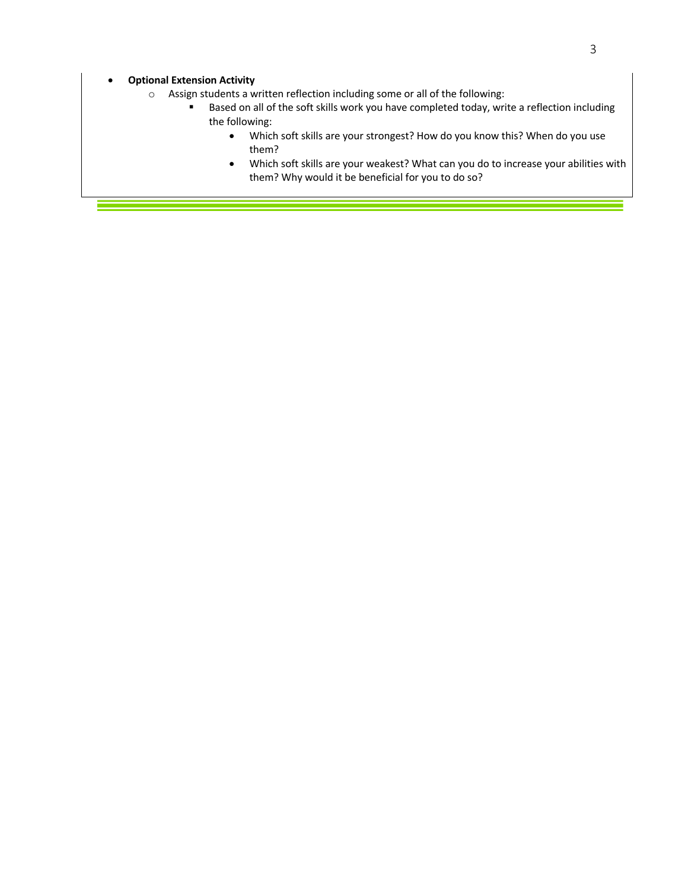- o Assign students a written reflection including some or all of the following:
	- Based on all of the soft skills work you have completed today, write a reflection including the following:
		- Which soft skills are your strongest? How do you know this? When do you use them?
		- Which soft skills are your weakest? What can you do to increase your abilities with them? Why would it be beneficial for you to do so?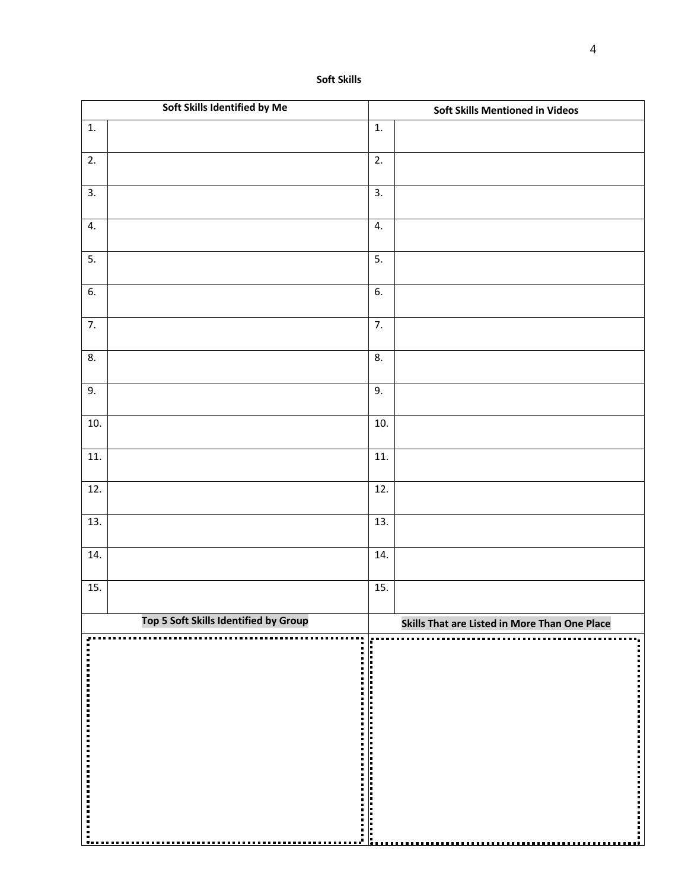| Soft Skills Identified by Me |                                       | <b>Soft Skills Mentioned in Videos</b> |                                               |
|------------------------------|---------------------------------------|----------------------------------------|-----------------------------------------------|
| 1.                           |                                       | 1.                                     |                                               |
| $\overline{2}$ .             |                                       | 2.                                     |                                               |
| $\overline{3}$ .             |                                       | $\overline{3}$ .                       |                                               |
| 4.                           |                                       | 4.                                     |                                               |
| 5.                           |                                       | $\overline{5}$ .                       |                                               |
| 6.                           |                                       | 6.                                     |                                               |
| 7.                           |                                       | 7.                                     |                                               |
| 8.                           |                                       | 8.                                     |                                               |
| 9.                           |                                       | 9.                                     |                                               |
| 10.                          |                                       | 10.                                    |                                               |
| 11.                          |                                       | 11.                                    |                                               |
| 12.                          |                                       | 12.                                    |                                               |
| 13.                          |                                       | 13.                                    |                                               |
| 14.                          |                                       | 14.                                    |                                               |
| $\overline{15}$ .            |                                       | 15.                                    |                                               |
|                              | Top 5 Soft Skills Identified by Group |                                        | Skills That are Listed in More Than One Place |
|                              |                                       |                                        |                                               |
|                              |                                       |                                        |                                               |
|                              |                                       |                                        |                                               |
|                              |                                       |                                        |                                               |
|                              |                                       |                                        |                                               |
|                              |                                       |                                        |                                               |
|                              |                                       |                                        |                                               |
|                              |                                       |                                        |                                               |
|                              |                                       |                                        |                                               |
|                              |                                       |                                        |                                               |
|                              |                                       |                                        |                                               |